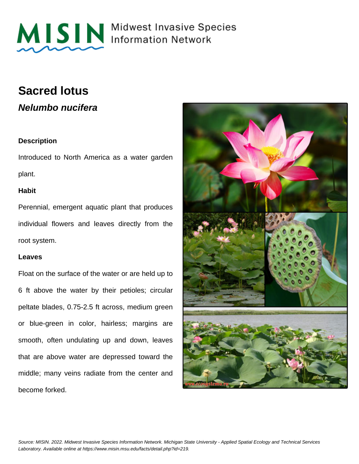

MISIN Midwest Invasive Species

## **Sacred lotus**

**Nelumbo nucifera**

#### **Description**

Introduced to North America as a water garden plant.

#### **Habit**

Perennial, emergent aquatic plant that produces individual flowers and leaves directly from the root system.

#### **Leaves**

Float on the surface of the water or are held up to 6 ft above the water by their petioles; circular peltate blades, 0.75-2.5 ft across, medium green or blue-green in color, hairless; margins are smooth, often undulating up and down, leaves that are above water are depressed toward the middle; many veins radiate from the center and become forked.

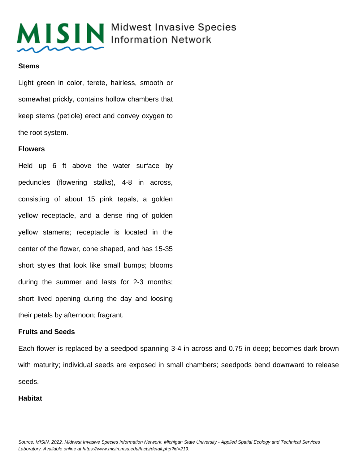

MISIN Midwest Invasive Species

#### **Stems**

Light green in color, terete, hairless, smooth or somewhat prickly, contains hollow chambers that keep stems (petiole) erect and convey oxygen to the root system.

#### **Flowers**

Held up 6 ft above the water surface by peduncles (flowering stalks), 4-8 in across, consisting of about 15 pink tepals, a golden yellow receptacle, and a dense ring of golden yellow stamens; receptacle is located in the center of the flower, cone shaped, and has 15-35 short styles that look like small bumps; blooms during the summer and lasts for 2-3 months; short lived opening during the day and loosing their petals by afternoon; fragrant.

#### **Fruits and Seeds**

Each flower is replaced by a seedpod spanning 3-4 in across and 0.75 in deep; becomes dark brown with maturity; individual seeds are exposed in small chambers; seedpods bend downward to release seeds.

#### **Habitat**